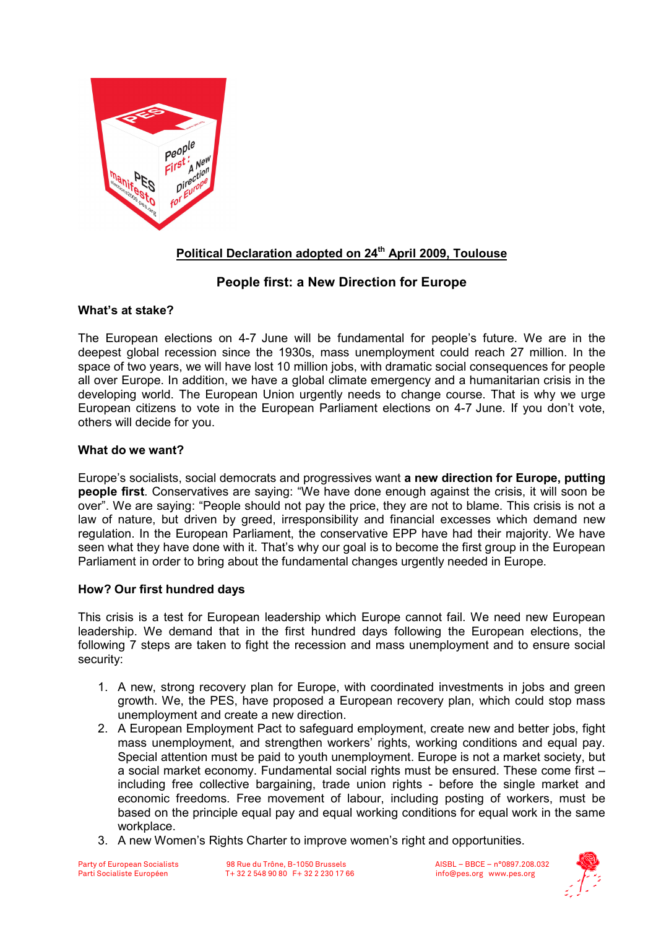

# Political Declaration adopted on 24<sup>th</sup> April 2009, Toulouse

# People first: a New Direction for Europe

## What's at stake?

The European elections on 4-7 June will be fundamental for people's future. We are in the deepest global recession since the 1930s, mass unemployment could reach 27 million. In the space of two years, we will have lost 10 million jobs, with dramatic social consequences for people all over Europe. In addition, we have a global climate emergency and a humanitarian crisis in the developing world. The European Union urgently needs to change course. That is why we urge European citizens to vote in the European Parliament elections on 4-7 June. If you don't vote, others will decide for you.

### What do we want?

Europe's socialists, social democrats and progressives want a new direction for Europe, putting people first. Conservatives are saying: "We have done enough against the crisis, it will soon be over". We are saying: "People should not pay the price, they are not to blame. This crisis is not a law of nature, but driven by greed, irresponsibility and financial excesses which demand new regulation. In the European Parliament, the conservative EPP have had their majority. We have seen what they have done with it. That's why our goal is to become the first group in the European Parliament in order to bring about the fundamental changes urgently needed in Europe.

### How? Our first hundred days

This crisis is a test for European leadership which Europe cannot fail. We need new European leadership. We demand that in the first hundred days following the European elections, the following 7 steps are taken to fight the recession and mass unemployment and to ensure social security:

- 1. A new, strong recovery plan for Europe, with coordinated investments in jobs and green growth. We, the PES, have proposed a European recovery plan, which could stop mass unemployment and create a new direction.
- 2. A European Employment Pact to safeguard employment, create new and better jobs, fight mass unemployment, and strengthen workers' rights, working conditions and equal pay. Special attention must be paid to youth unemployment. Europe is not a market society, but a social market economy. Fundamental social rights must be ensured. These come first – including free collective bargaining, trade union rights - before the single market and economic freedoms. Free movement of labour, including posting of workers, must be based on the principle equal pay and equal working conditions for equal work in the same workplace.
- 3. A new Women's Rights Charter to improve women's right and opportunities.